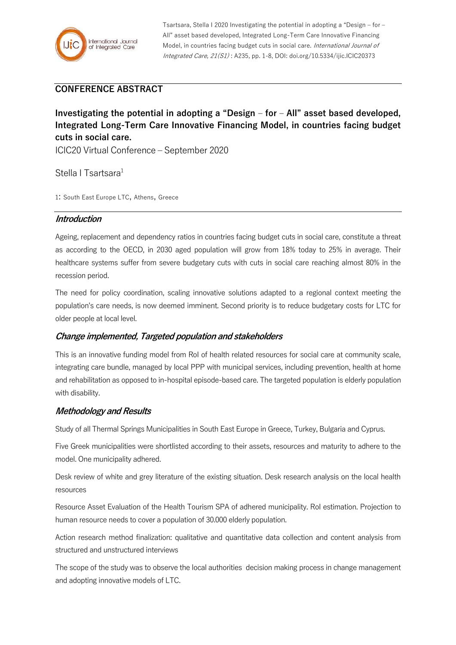

Tsartsara, Stella I 2020 Investigating the potential in adopting a "Design – for – All" asset based developed, Integrated Long-Term Care Innovative Financing Model, in countries facing budget cuts in social care. International Journal of Integrated Care, 21(S1) : A235, pp. 1-8, DOI: doi.org/10.5334/ijic.ICIC20373

# **CONFERENCE ABSTRACT**

**Investigating the potential in adopting a "Design – for – All" asset based developed, Integrated Long-Term Care Innovative Financing Model, in countries facing budget cuts in social care.**

ICIC20 Virtual Conference – September 2020

Stella I Tsartsara<sup>1</sup>

1: South East Europe LTC, Athens, Greece

### **Introduction**

Ageing, replacement and dependency ratios in countries facing budget cuts in social care, constitute a threat as according to the OECD, in 2030 aged population will grow from 18% today to 25% in average. Their healthcare systems suffer from severe budgetary cuts with cuts in social care reaching almost 80% in the recession period.

The need for policy coordination, scaling innovative solutions adapted to a regional context meeting the population's care needs, is now deemed imminent. Second priority is to reduce budgetary costs for LTC for older people at local level.

### **Change implemented, Targeted population and stakeholders**

This is an innovative funding model from RoI of health related resources for social care at community scale, integrating care bundle, managed by local PPP with municipal services, including prevention, health at home and rehabilitation as opposed to in-hospital episode-based care. The targeted population is elderly population with disability.

### **Methodology and Results**

Study of all Thermal Springs Municipalities in South East Europe in Greece, Turkey, Bulgaria and Cyprus.

Five Greek municipalities were shortlisted according to their assets, resources and maturity to adhere to the model. One municipality adhered.

Desk review of white and grey literature of the existing situation. Desk research analysis on the local health resources

Resource Asset Evaluation of the Health Tourism SPA of adhered municipality. Rol estimation. Projection to human resource needs to cover a population of 30.000 elderly population.

Action research method finalization: qualitative and quantitative data collection and content analysis from structured and unstructured interviews

The scope of the study was to observe the local authorities decision making process in change management and adopting innovative models of LTC.